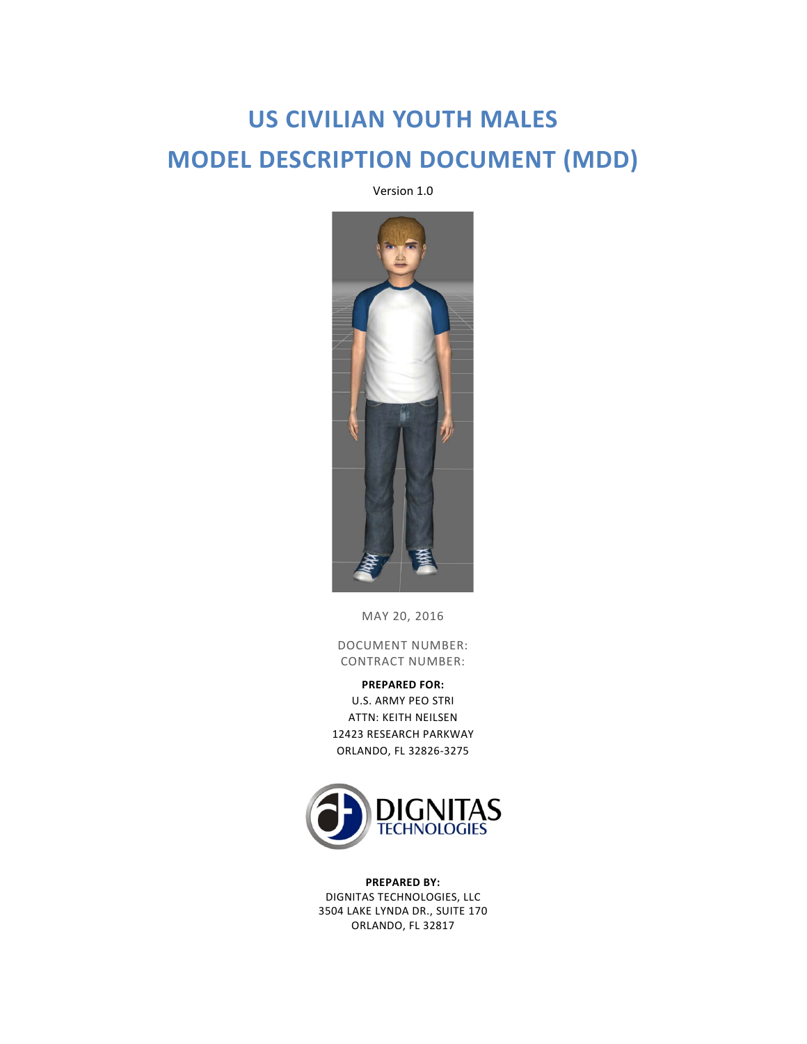# **US CIVILIAN YOUTH MALES MODEL DESCRIPTION DOCUMENT (MDD)**

Version 1.0



MAY 20, 2016

DOCUMENT NUMBER: CONTRACT NUMBER:

**PREPARED FOR:** U.S. ARMY PEO STRI ATTN: KEITH NEILSEN 12423 RESEARCH PARKWAY ORLANDO, FL 32826-3275



**PREPARED BY:** DIGNITAS TECHNOLOGIES, LLC 3504 LAKE LYNDA DR., SUITE 170 ORLANDO, FL 32817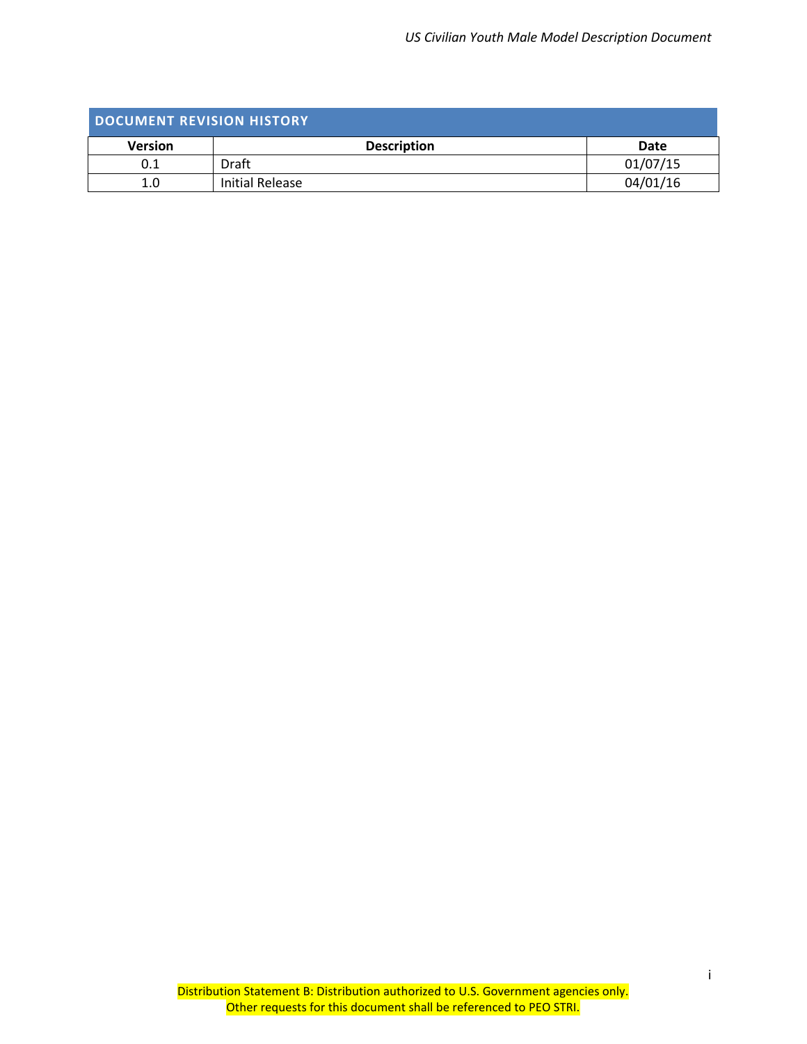<span id="page-1-0"></span>

| DOCUMENT REVISION HISTORY |                    |          |  |
|---------------------------|--------------------|----------|--|
| <b>Version</b>            | <b>Description</b> | Date     |  |
| 0.1                       | Draft              | 01/07/15 |  |
| 1.0                       | Initial Release    | 04/01/16 |  |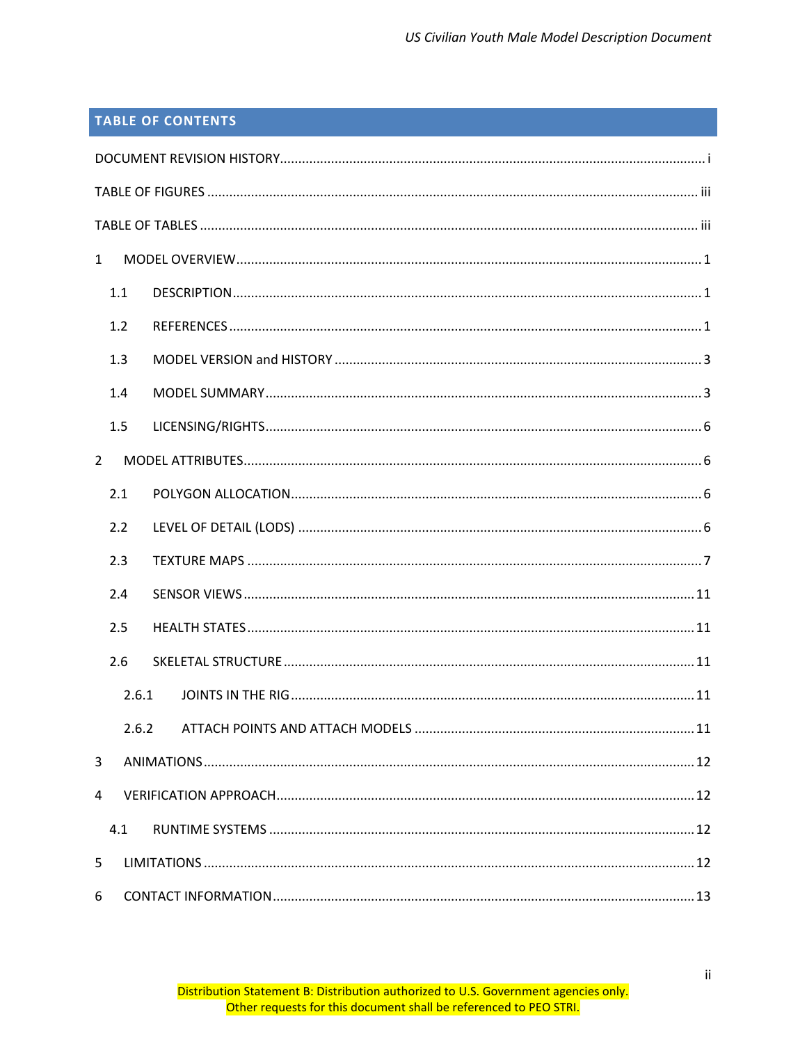# **TABLE OF CONTENTS**

| $\mathbf{1}$   |       |  |
|----------------|-------|--|
| 1.1            |       |  |
| 1.2            |       |  |
| 1.3            |       |  |
| 1.4            |       |  |
| 1.5            |       |  |
| $\overline{2}$ |       |  |
| 2.1            |       |  |
| 2.2            |       |  |
| 2.3            |       |  |
| 2.4            |       |  |
| 2.5            |       |  |
| 2.6            |       |  |
|                | 2.6.1 |  |
|                | 2.6.2 |  |
| 3              |       |  |
| 4              |       |  |
| 4.1            |       |  |
| 5              |       |  |
| 6              |       |  |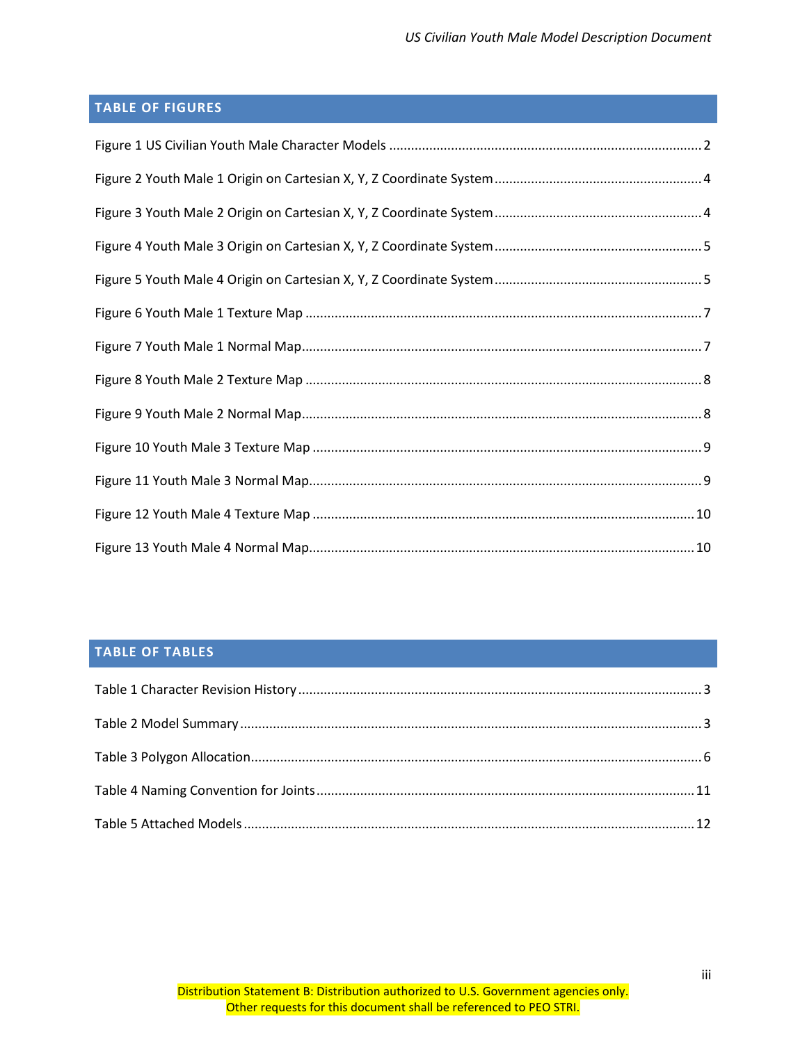# <span id="page-3-0"></span>**TABLE OF FIGURES**

## <span id="page-3-1"></span>**TABLE OF TABLES**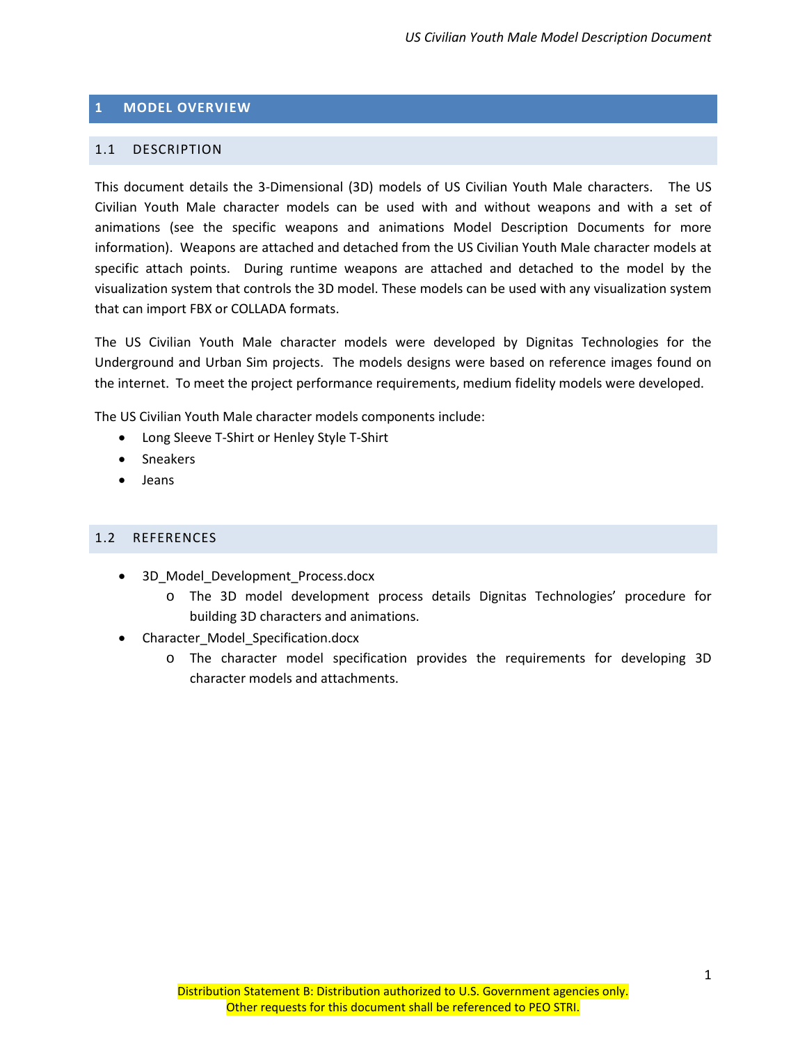#### <span id="page-4-0"></span>**1 MODEL OVERVIEW**

#### <span id="page-4-1"></span>1.1 DESCRIPTION

This document details the 3-Dimensional (3D) models of US Civilian Youth Male characters. The US Civilian Youth Male character models can be used with and without weapons and with a set of animations (see the specific weapons and animations Model Description Documents for more information). Weapons are attached and detached from the US Civilian Youth Male character models at specific attach points. During runtime weapons are attached and detached to the model by the visualization system that controls the 3D model. These models can be used with any visualization system that can import FBX or COLLADA formats.

The US Civilian Youth Male character models were developed by Dignitas Technologies for the Underground and Urban Sim projects. The models designs were based on reference images found on the internet. To meet the project performance requirements, medium fidelity models were developed.

The US Civilian Youth Male character models components include:

- Long Sleeve T-Shirt or Henley Style T-Shirt
- Sneakers
- Jeans

#### <span id="page-4-2"></span>1.2 REFERENCES

- 3D Model Development Process.docx
	- o The 3D model development process details Dignitas Technologies' procedure for building 3D characters and animations.
- Character\_Model\_Specification.docx
	- o The character model specification provides the requirements for developing 3D character models and attachments.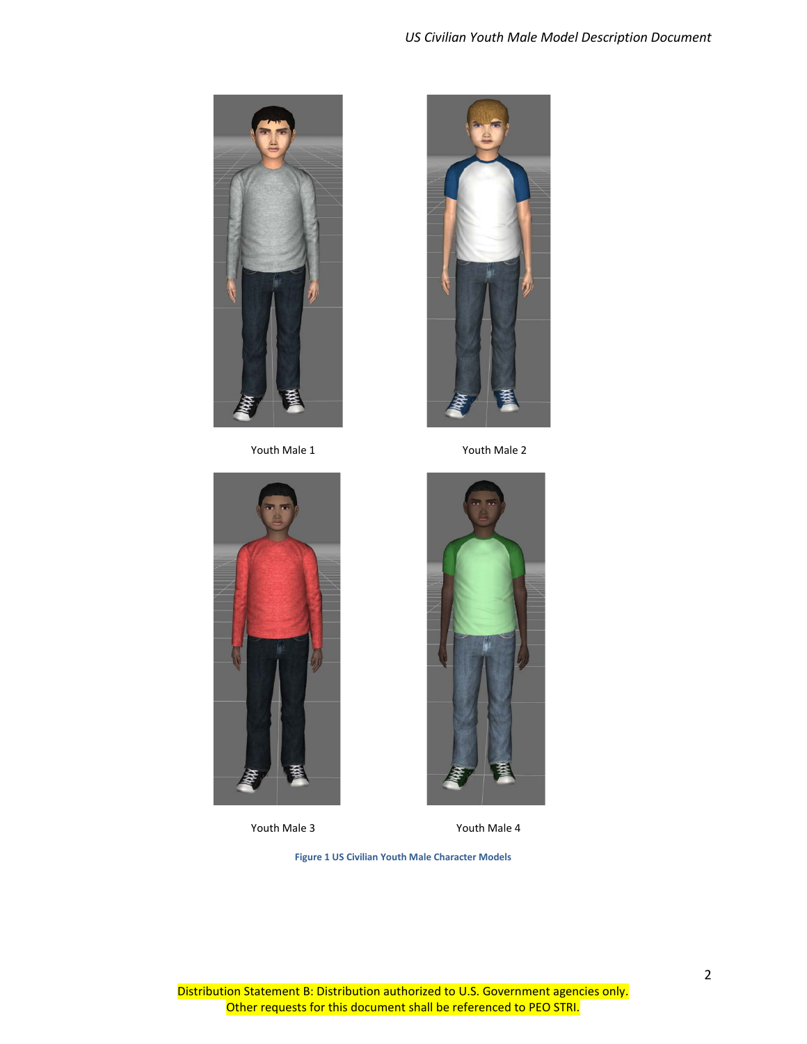



Youth Male 1 Youth Male 2



<span id="page-5-0"></span>



Youth Male 3 Youth Male 4

**Figure 1 US Civilian Youth Male Character Models**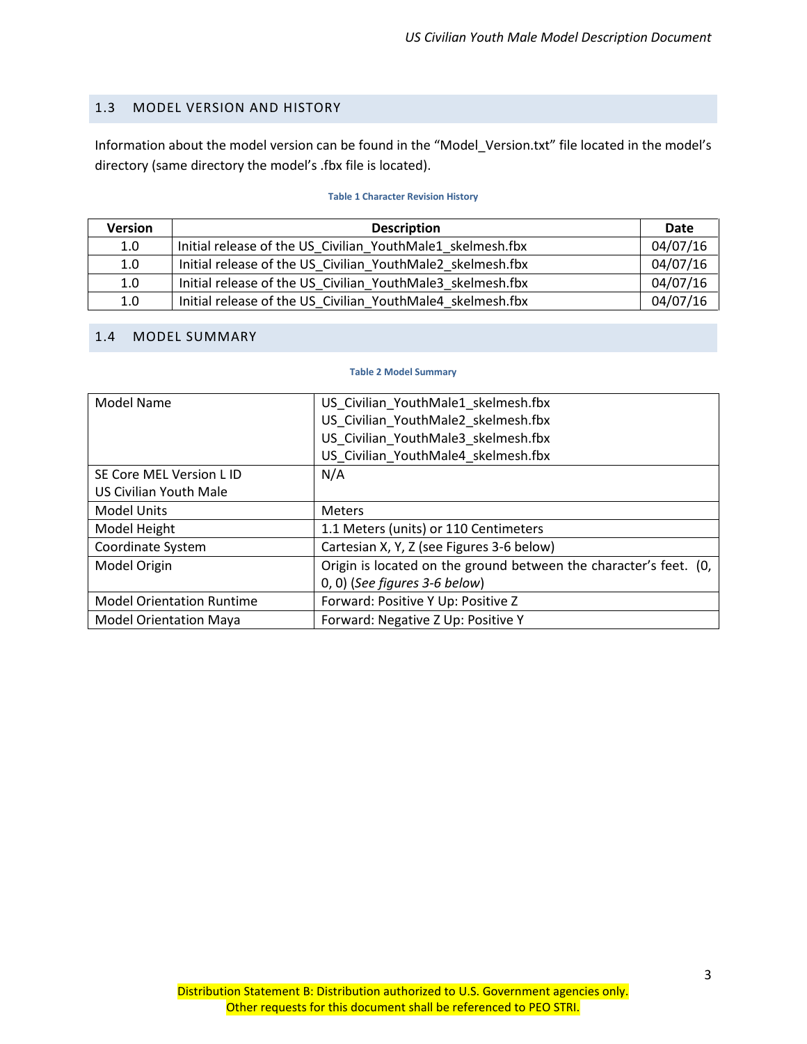#### <span id="page-6-0"></span>1.3 MODEL VERSION AND HISTORY

Information about the model version can be found in the "Model\_Version.txt" file located in the model's directory (same directory the model's .fbx file is located).

#### **Table 1 Character Revision History**

<span id="page-6-2"></span>

| <b>Version</b> | <b>Description</b>                                         | Date     |
|----------------|------------------------------------------------------------|----------|
| 1.0            | Initial release of the US Civilian YouthMale1 skelmesh.fbx | 04/07/16 |
| 1.0            | Initial release of the US Civilian YouthMale2 skelmesh.fbx | 04/07/16 |
| 1.0            | Initial release of the US Civilian YouthMale3 skelmesh.fbx | 04/07/16 |
| 1.0            | Initial release of the US Civilian YouthMale4 skelmesh.fbx | 04/07/16 |

#### <span id="page-6-3"></span><span id="page-6-1"></span>1.4 MODEL SUMMARY

#### **Table 2 Model Summary**

| <b>Model Name</b>                | US_Civilian_YouthMale1_skelmesh.fbx                               |
|----------------------------------|-------------------------------------------------------------------|
|                                  | US Civilian YouthMale2 skelmesh.fbx                               |
|                                  | US Civilian YouthMale3 skelmesh.fbx                               |
|                                  | US Civilian YouthMale4 skelmesh.fbx                               |
| SE Core MEL Version L ID         | N/A                                                               |
| US Civilian Youth Male           |                                                                   |
| <b>Model Units</b>               | <b>Meters</b>                                                     |
| Model Height                     | 1.1 Meters (units) or 110 Centimeters                             |
| Coordinate System                | Cartesian X, Y, Z (see Figures 3-6 below)                         |
| Model Origin                     | Origin is located on the ground between the character's feet. (0, |
|                                  | $(0, 0)$ (See figures 3-6 below)                                  |
| <b>Model Orientation Runtime</b> | Forward: Positive Y Up: Positive Z                                |
| <b>Model Orientation Maya</b>    | Forward: Negative Z Up: Positive Y                                |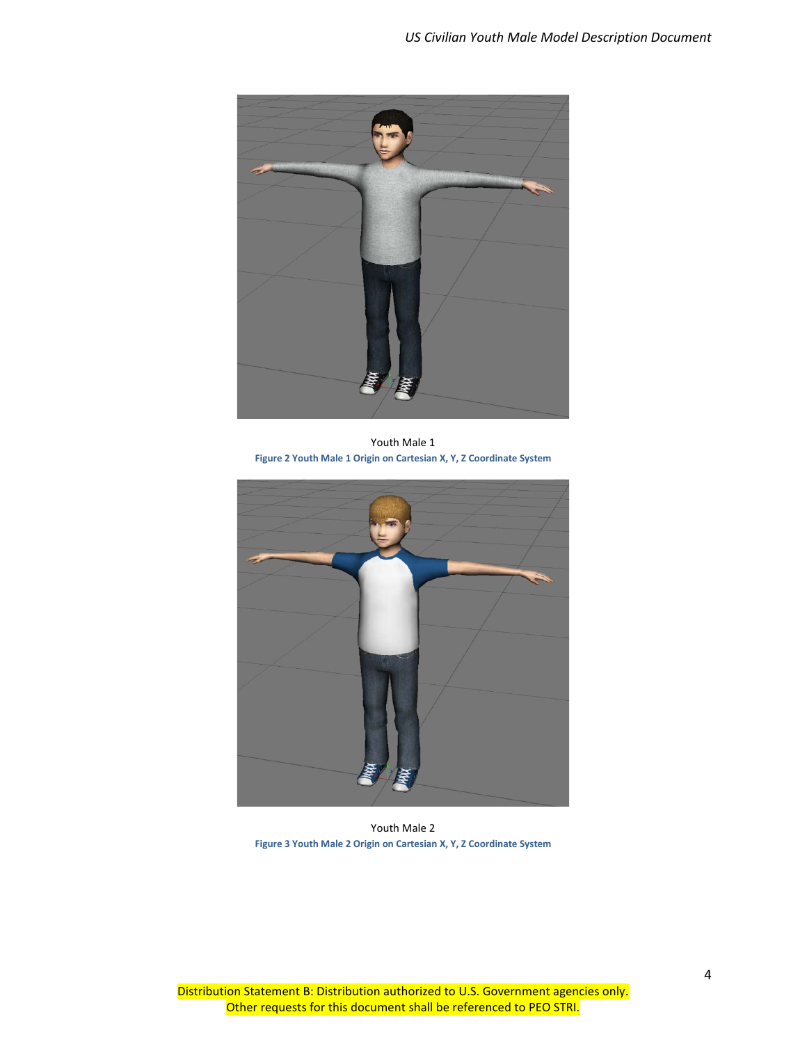

Youth Male 1 **Figure 2 Youth Male 1 Origin on Cartesian X, Y, Z Coordinate System**

<span id="page-7-1"></span><span id="page-7-0"></span>

Youth Male 2 **Figure 3 Youth Male 2 Origin on Cartesian X, Y, Z Coordinate System**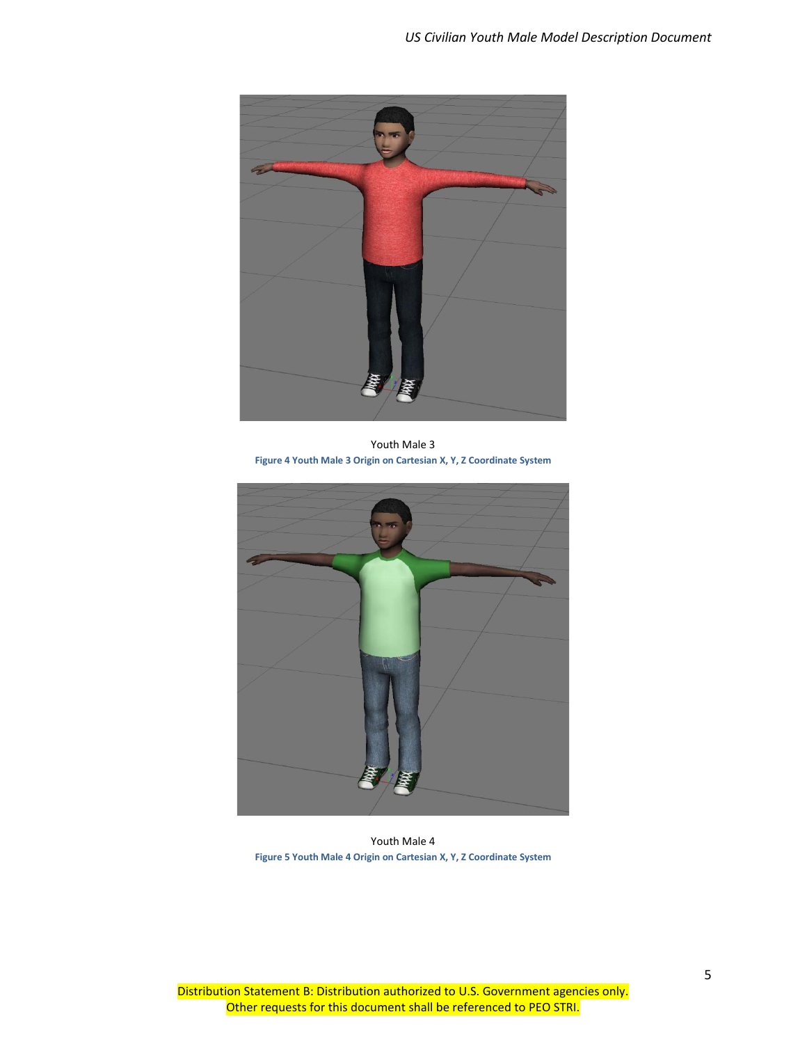

Youth Male 3 **Figure 4 Youth Male 3 Origin on Cartesian X, Y, Z Coordinate System**

<span id="page-8-1"></span><span id="page-8-0"></span>

Youth Male 4 **Figure 5 Youth Male 4 Origin on Cartesian X, Y, Z Coordinate System**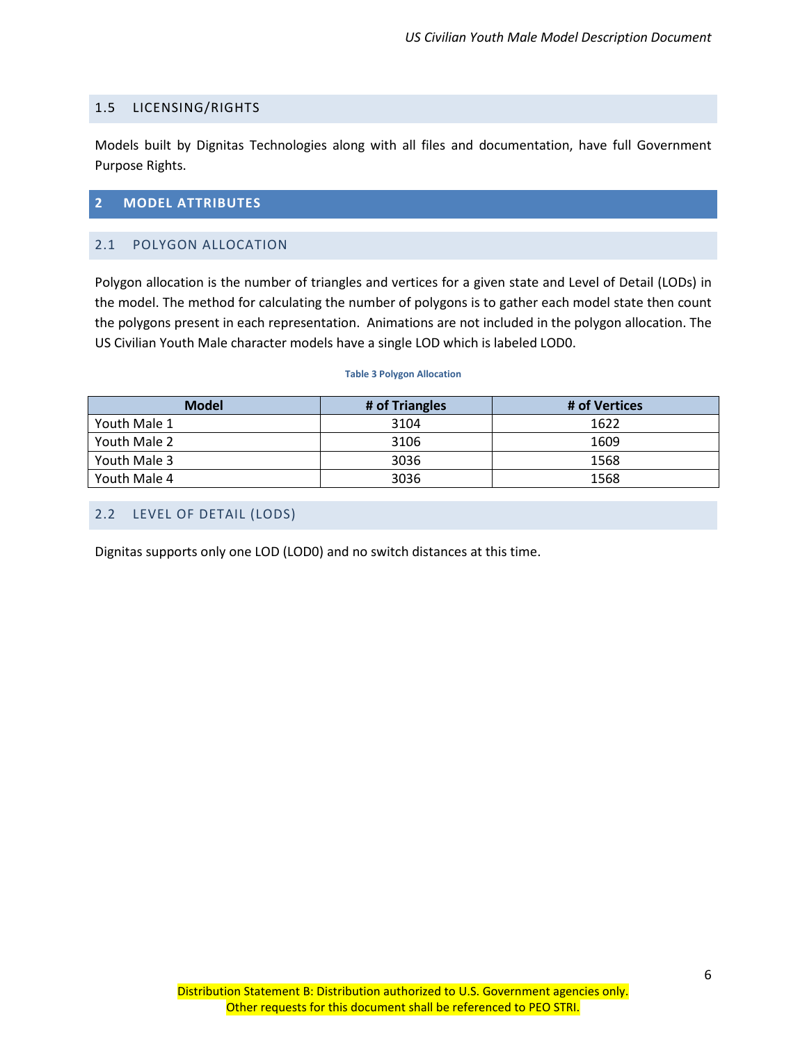#### <span id="page-9-0"></span>1.5 LICENSING/RIGHTS

Models built by Dignitas Technologies along with all files and documentation, have full Government Purpose Rights.

#### <span id="page-9-1"></span>**2 MODEL ATTRIBUTES**

#### <span id="page-9-2"></span>2.1 POLYGON ALLOCATION

Polygon allocation is the number of triangles and vertices for a given state and Level of Detail (LODs) in the model. The method for calculating the number of polygons is to gather each model state then count the polygons present in each representation. Animations are not included in the polygon allocation. The US Civilian Youth Male character models have a single LOD which is labeled LOD0.

#### **Table 3 Polygon Allocation**

<span id="page-9-4"></span>

| <b>Model</b> | # of Triangles | # of Vertices |
|--------------|----------------|---------------|
| Youth Male 1 | 3104           | 1622          |
| Youth Male 2 | 3106           | 1609          |
| Youth Male 3 | 3036           | 1568          |
| Youth Male 4 | 3036           | 1568          |

## <span id="page-9-3"></span>2.2 LEVEL OF DETAIL (LODS)

Dignitas supports only one LOD (LOD0) and no switch distances at this time.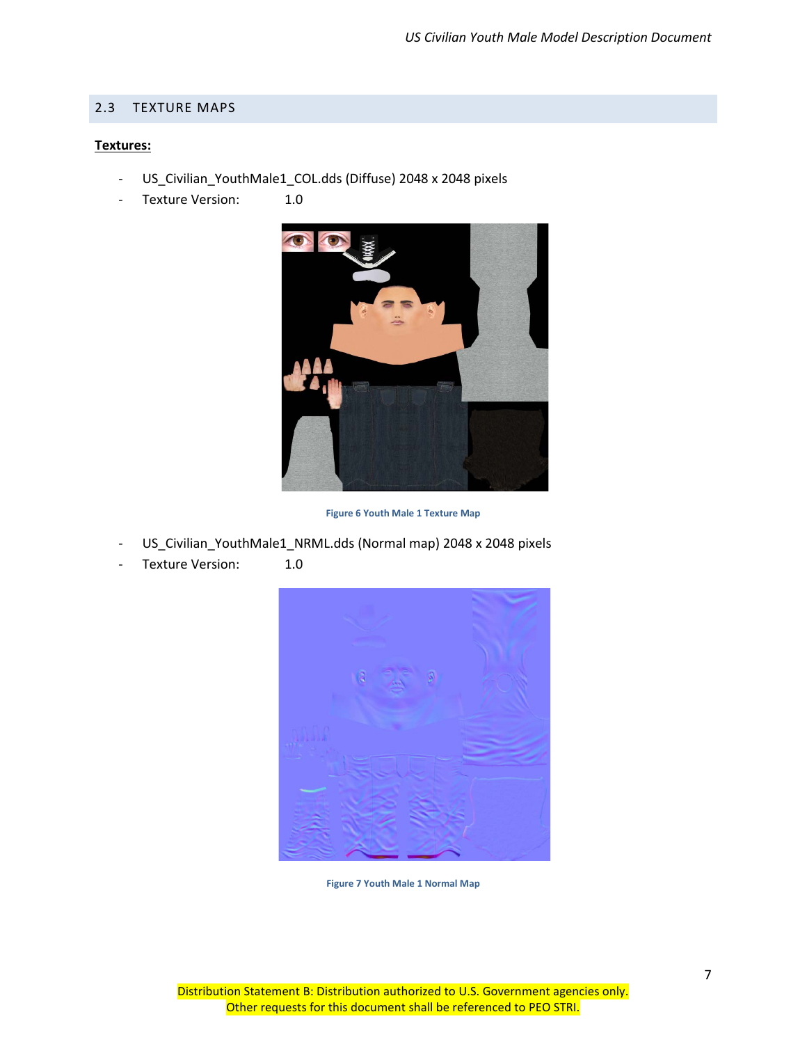#### <span id="page-10-0"></span>2.3 TEXTURE MAPS

#### **Textures:**

- US\_Civilian\_YouthMale1\_COL.dds (Diffuse) 2048 x 2048 pixels
- Texture Version: 1.0



**Figure 6 Youth Male 1 Texture Map**

- <span id="page-10-1"></span>US\_Civilian\_YouthMale1\_NRML.dds (Normal map) 2048 x 2048 pixels
- <span id="page-10-2"></span>Texture Version: 1.0



**Figure 7 Youth Male 1 Normal Map**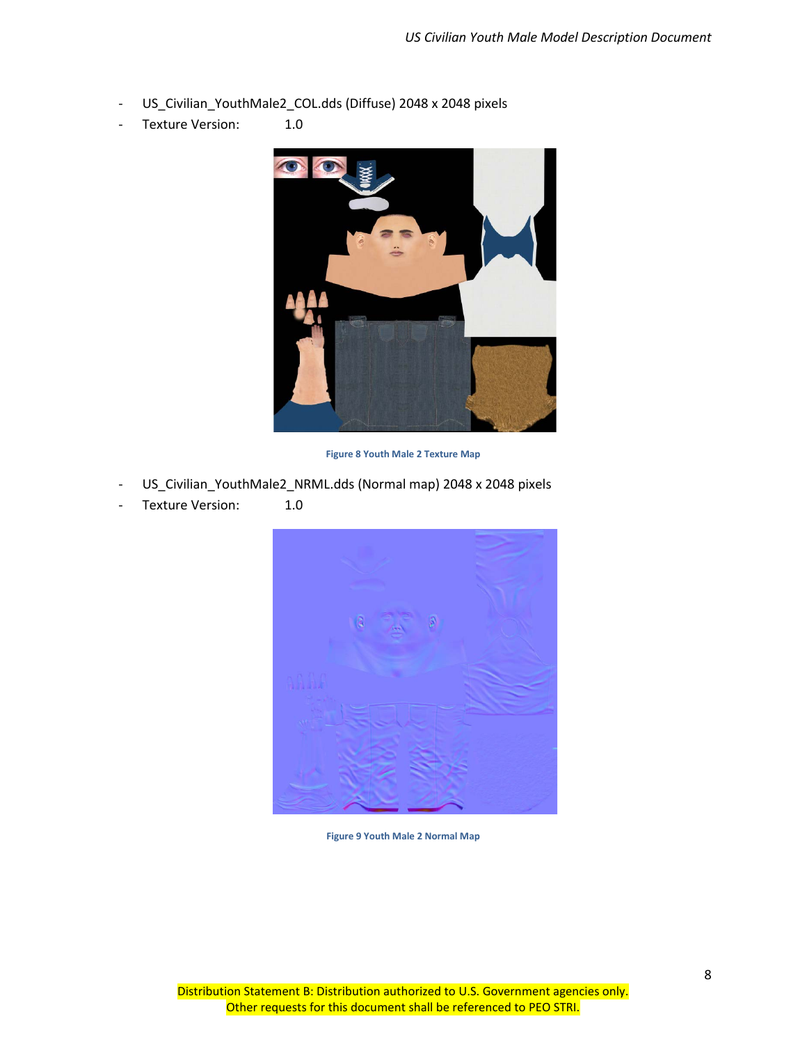- US\_Civilian\_YouthMale2\_COL.dds (Diffuse) 2048 x 2048 pixels
- Texture Version: 1.0



**Figure 8 Youth Male 2 Texture Map**

- <span id="page-11-0"></span>US\_Civilian\_YouthMale2\_NRML.dds (Normal map) 2048 x 2048 pixels
- <span id="page-11-1"></span>Texture Version: 1.0



**Figure 9 Youth Male 2 Normal Map**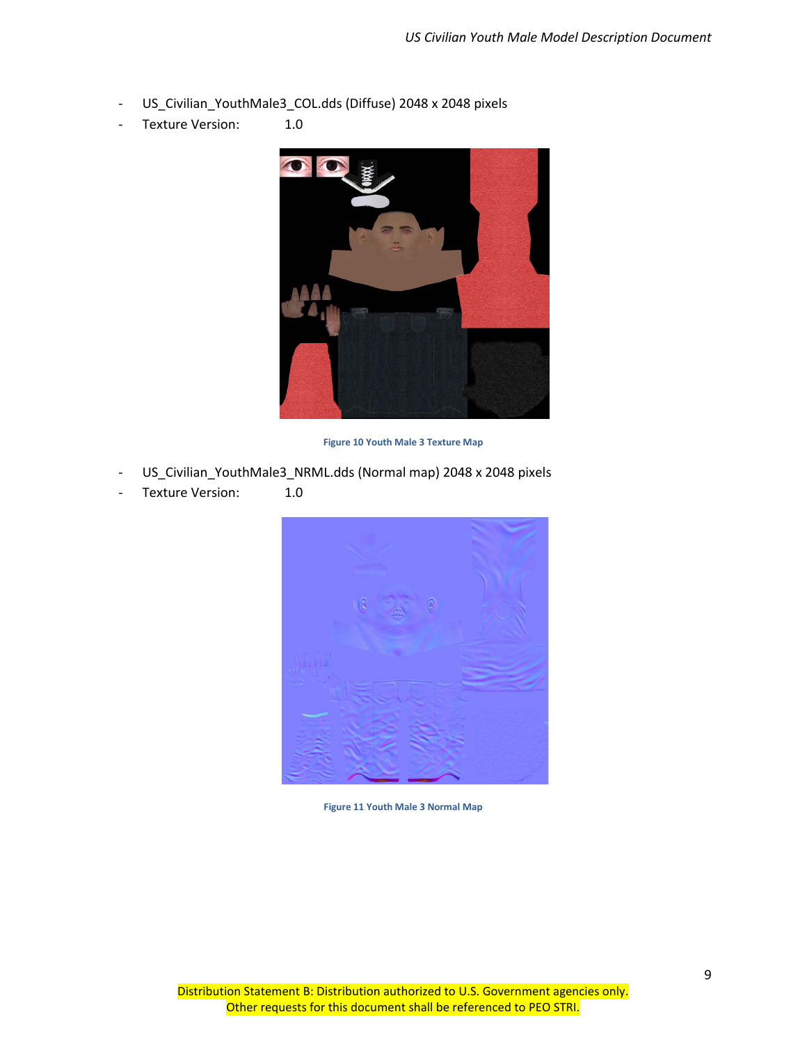- US\_Civilian\_YouthMale3\_COL.dds (Diffuse) 2048 x 2048 pixels
- Texture Version: 1.0



**Figure 10 Youth Male 3 Texture Map**

- <span id="page-12-0"></span>US\_Civilian\_YouthMale3\_NRML.dds (Normal map) 2048 x 2048 pixels
- <span id="page-12-1"></span>Texture Version: 1.0



**Figure 11 Youth Male 3 Normal Map**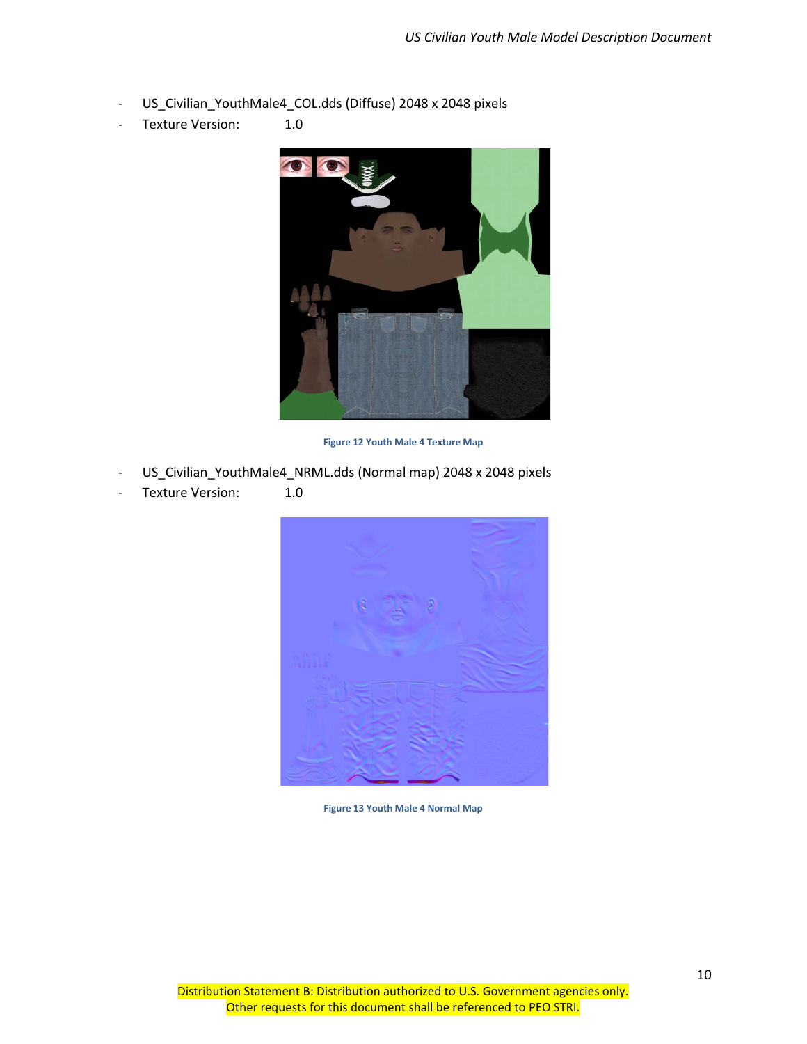- US\_Civilian\_YouthMale4\_COL.dds (Diffuse) 2048 x 2048 pixels
- Texture Version: 1.0



**Figure 12 Youth Male 4 Texture Map**

- <span id="page-13-0"></span>US\_Civilian\_YouthMale4\_NRML.dds (Normal map) 2048 x 2048 pixels
- <span id="page-13-1"></span>- Texture Version: 1.0



**Figure 13 Youth Male 4 Normal Map**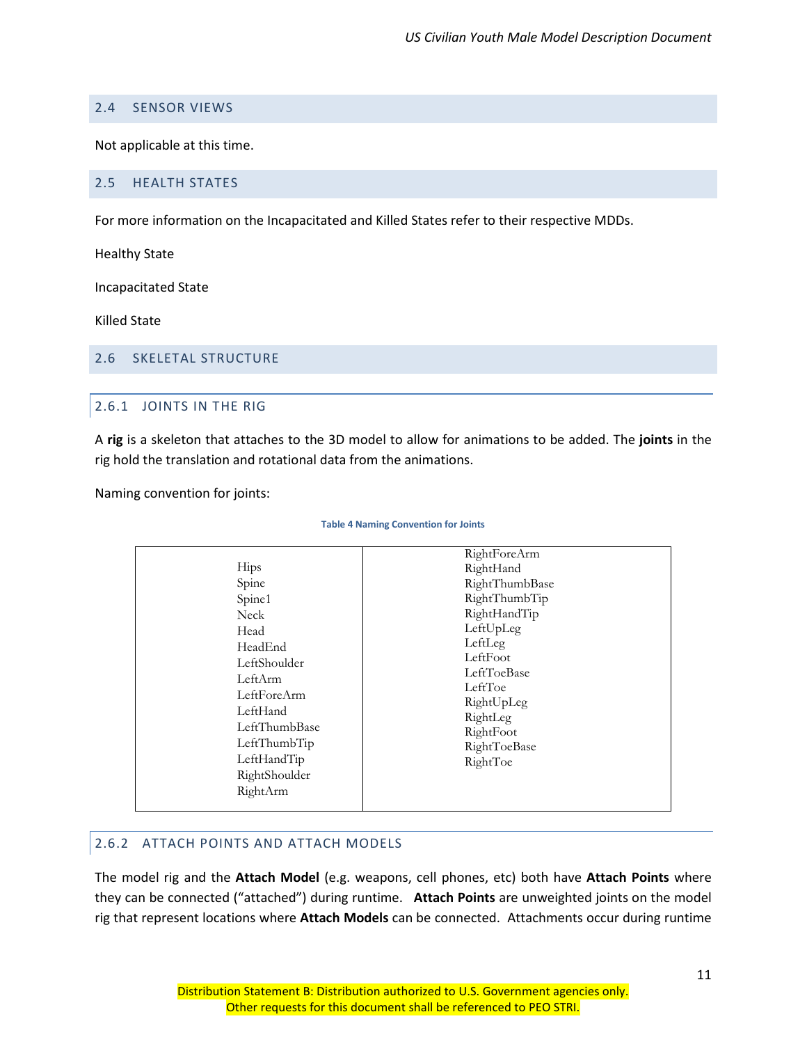## <span id="page-14-0"></span>2.4 SENSOR VIEWS

Not applicable at this time.

#### <span id="page-14-1"></span>2.5 HEALTH STATES

For more information on the Incapacitated and Killed States refer to their respective MDDs.

Healthy State

Incapacitated State

Killed State

#### <span id="page-14-3"></span><span id="page-14-2"></span>2.6 SKELETAL STRUCTURE

## 2.6.1 JOINTS IN THE RIG

A **rig** is a skeleton that attaches to the 3D model to allow for animations to be added. The **joints** in the rig hold the translation and rotational data from the animations.

<span id="page-14-5"></span>Naming convention for joints:

#### **Table 4 Naming Convention for Joints**

## <span id="page-14-4"></span>2.6.2 ATTACH POINTS AND ATTACH MODELS

The model rig and the **Attach Model** (e.g. weapons, cell phones, etc) both have **Attach Points** where they can be connected ("attached") during runtime. **Attach Points** are unweighted joints on the model rig that represent locations where **Attach Models** can be connected. Attachments occur during runtime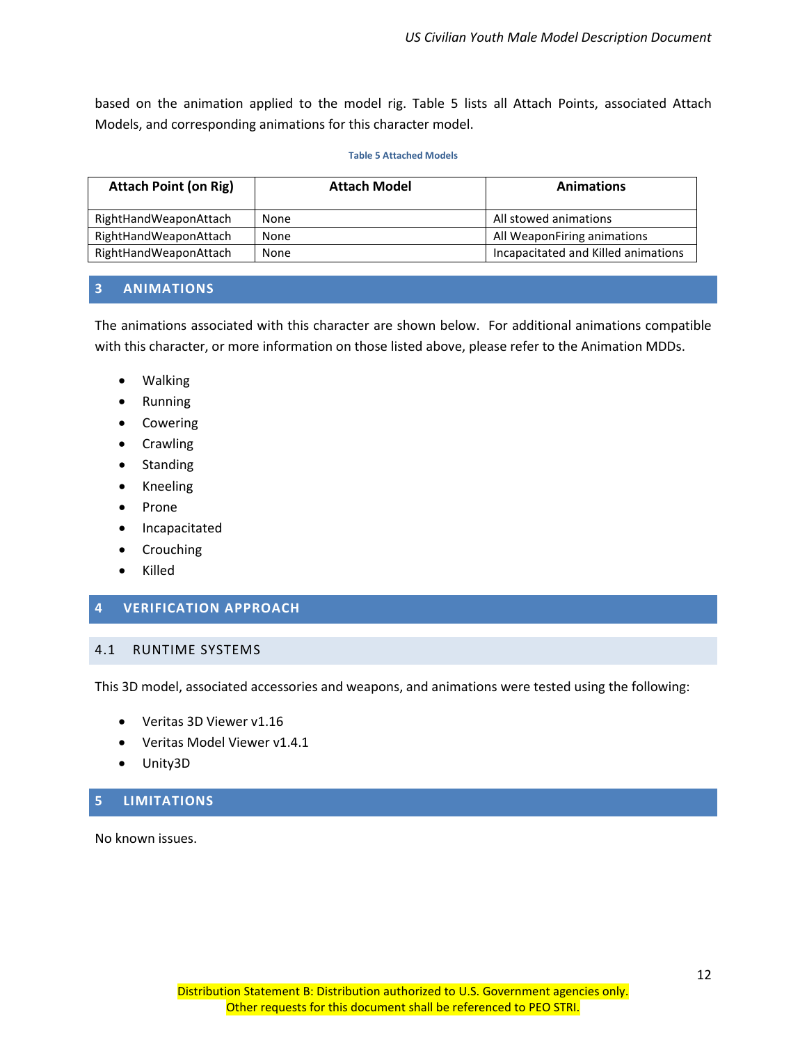based on the animation applied to the model rig. Table 5 lists all Attach Points, associated Attach Models, and corresponding animations for this character model.

#### **Table 5 Attached Models**

<span id="page-15-4"></span>

| <b>Attach Point (on Rig)</b> | <b>Attach Model</b> | <b>Animations</b>                   |
|------------------------------|---------------------|-------------------------------------|
| RightHandWeaponAttach        | None                | All stowed animations               |
| RightHandWeaponAttach        | None                | All WeaponFiring animations         |
| RightHandWeaponAttach        | None                | Incapacitated and Killed animations |

#### <span id="page-15-0"></span>**3 ANIMATIONS**

The animations associated with this character are shown below. For additional animations compatible with this character, or more information on those listed above, please refer to the Animation MDDs.

- Walking
- Running
- Cowering
- Crawling
- Standing
- Kneeling
- Prone
- Incapacitated
- Crouching
- Killed

#### <span id="page-15-1"></span>**4 VERIFICATION APPROACH**

#### <span id="page-15-2"></span>4.1 RUNTIME SYSTEMS

This 3D model, associated accessories and weapons, and animations were tested using the following:

- Veritas 3D Viewer v1.16
- Veritas Model Viewer v1.4.1
- Unity3D

## <span id="page-15-3"></span>**5 LIMITATIONS**

No known issues.